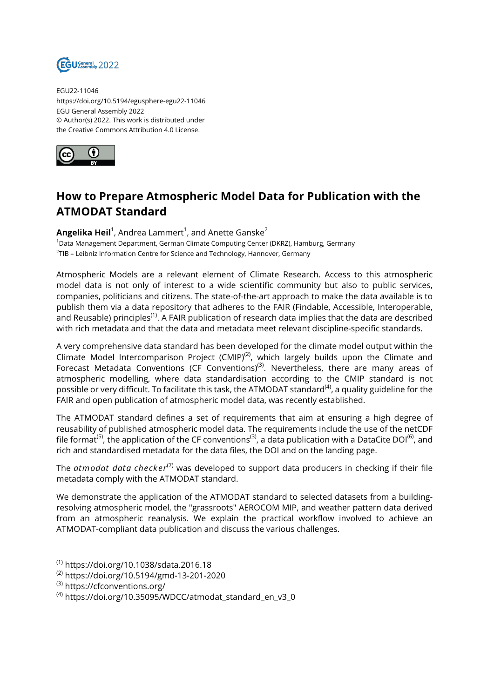

EGU22-11046 https://doi.org/10.5194/egusphere-egu22-11046 EGU General Assembly 2022 © Author(s) 2022. This work is distributed under the Creative Commons Attribution 4.0 License.



## **How to Prepare Atmospheric Model Data for Publication with the ATMODAT Standard**

**Angelika Heil**<sup>1</sup>, Andrea Lammert<sup>1</sup>, and Anette Ganske<sup>2</sup> <sup>1</sup>Data Management Department, German Climate Computing Center (DKRZ), Hamburg, Germany

 $^{2}$ TIB – Leibniz Information Centre for Science and Technology, Hannover, Germany

Atmospheric Models are a relevant element of Climate Research. Access to this atmospheric model data is not only of interest to a wide scientific community but also to public services, companies, politicians and citizens. The state-of-the-art approach to make the data available is to publish them via a data repository that adheres to the FAIR (Findable, Accessible, Interoperable, and Reusable) principles<sup>(1)</sup>. A FAIR publication of research data implies that the data are described with rich metadata and that the data and metadata meet relevant discipline-specific standards.

A very comprehensive data standard has been developed for the climate model output within the Climate Model Intercomparison Project (CMIP)<sup>(2)</sup>, which largely builds upon the Climate and Forecast Metadata Conventions (CF Conventions)<sup>(3)</sup>. Nevertheless, there are many areas of atmospheric modelling, where data standardisation according to the CMIP standard is not possible or very difficult. To facilitate this task, the ATMODAT standard<sup>(4)</sup>, a quality guideline for the FAIR and open publication of atmospheric model data, was recently established.

The ATMODAT standard defines a set of requirements that aim at ensuring a high degree of reusability of published atmospheric model data. The requirements include the use of the netCDF file format<sup>(5)</sup>, the application of the CF conventions<sup>(3)</sup>, a data publication with a DataCite DOI<sup>(6)</sup>, and rich and standardised metadata for the data files, the DOI and on the landing page.

The *atmodat data checker*(7) was developed to support data producers in checking if their file metadata comply with the ATMODAT standard.

We demonstrate the application of the ATMODAT standard to selected datasets from a buildingresolving atmospheric model, the "grassroots" AEROCOM MIP, and weather pattern data derived from an atmospheric reanalysis. We explain the practical workflow involved to achieve an ATMODAT-compliant data publication and discuss the various challenges.

- (1) https://doi.org/10.1038/sdata.2016.18 (2) https://doi.org/10.5194/gmd-13-201-2020
- (3) https://cfconventions.org/
- $^{(4)}$  https://doi.org/10.35095/WDCC/atmodat\_standard\_en\_v3\_0